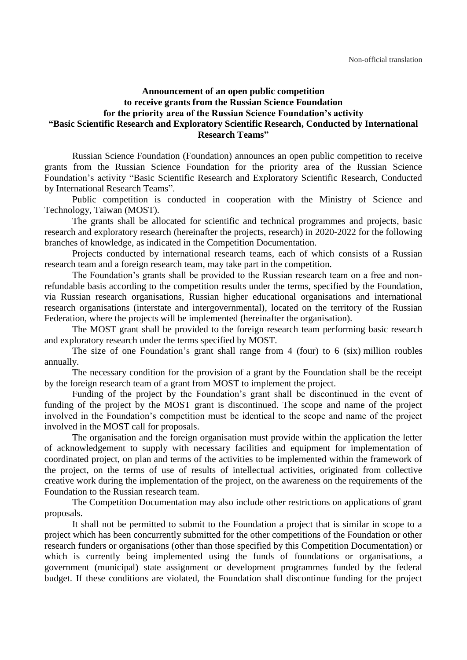## **Announcement of an open public competition to receive grants from the Russian Science Foundation for the priority area of the Russian Science Foundation's activity "Basic Scientific Research and Exploratory Scientific Research, Conducted by International Research Teams"**

Russian Science Foundation (Foundation) announces an open public competition to receive grants from the Russian Science Foundation for the priority area of the Russian Science Foundation's activity "Basic Scientific Research and Exploratory Scientific Research, Conducted by International Research Teams".

Public competition is conducted in cooperation with the Ministry of Science and Technology, Taiwan (MOST).

The grants shall be allocated for scientific and technical programmes and projects, basic research and exploratory research (hereinafter the projects, research) in 2020-2022 for the following branches of knowledge, as indicated in the Competition Documentation.

Projects conducted by international research teams, each of which consists of a Russian research team and a foreign research team, may take part in the competition.

The Foundation's grants shall be provided to the Russian research team on a free and nonrefundable basis according to the competition results under the terms, specified by the Foundation, via Russian research organisations, Russian higher educational organisations and international research organisations (interstate and intergovernmental), located on the territory of the Russian Federation, where the projects will be implemented (hereinafter the organisation).

The MOST grant shall be provided to the foreign research team performing basic research and exploratory research under the terms specified by MOST.

The size of one Foundation's grant shall range from 4 (four) to 6 (six) million roubles annually.

The necessary condition for the provision of a grant by the Foundation shall be the receipt by the foreign research team of a grant from MOST to implement the project.

Funding of the project by the Foundation's grant shall be discontinued in the event of funding of the project by the MOST grant is discontinued. The scope and name of the project involved in the Foundation's competition must be identical to the scope and name of the project involved in the MOST call for proposals.

The organisation and the foreign organisation must provide within the application the letter of acknowledgement to supply with necessary facilities and equipment for implementation of coordinated project, on plan and terms of the activities to be implemented within the framework of the project, on the terms of use of results of intellectual activities, originated from collective creative work during the implementation of the project, on the awareness on the requirements of the Foundation to the Russian research team.

The Competition Documentation may also include other restrictions on applications of grant proposals.

It shall not be permitted to submit to the Foundation a project that is similar in scope to a project which has been concurrently submitted for the other competitions of the Foundation or other research funders or organisations (other than those specified by this Competition Documentation) or which is currently being implemented using the funds of foundations or organisations, a government (municipal) state assignment or development programmes funded by the federal budget. If these conditions are violated, the Foundation shall discontinue funding for the project